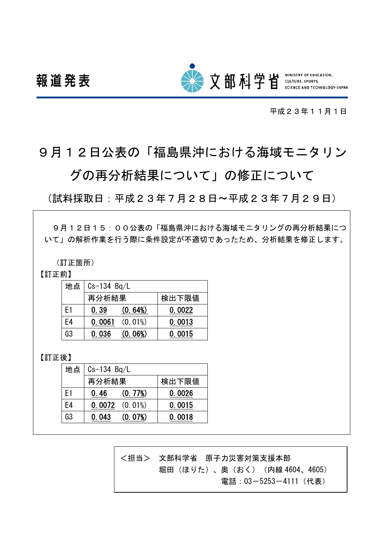

平成23年11月1日

# 9月12日公表の「福島県沖における海域モニタリン

## グの再分析結果について」の修正について

(試料採取日:平成23年7月28日~平成23年7月29日)

9月12日15:00公表の「福島県沖における海域モニタリングの再分析結果につ いて」の解析作業を行う際に条件設定が不適切であったため、分析結果を修正します。

(訂正箇所)

## 【訂正前】

| 地点             | $Cs-134$ Bq/L |            |        |  |
|----------------|---------------|------------|--------|--|
|                | 再分析結果         |            | 検出下限値  |  |
| F <sub>1</sub> | 0.39          | (0.64%)    | 0.0022 |  |
| E4             | 0.0061        | $(0.01\%)$ | 0.0013 |  |
| G3             | 0.036         | (0.06%)    | 0.0015 |  |

## 【訂正後】

|                | 地点   Cs-134 Bq/L |                     |        |  |
|----------------|------------------|---------------------|--------|--|
|                | 再分析結果            |                     | 検出下限値  |  |
| F <sub>1</sub> | 0.46             | (0.77%)             | 0.0026 |  |
| E4             |                  | $0.0072$ $(0.01\%)$ | 0.0015 |  |
| G3             | 0.043            | (0.07%)             | 0.0018 |  |

<担当> 文部科学省 原子力災害対策支援本部 堀田 (ほりた)、奥 (おく) (内線 4604、4605) 電話:03-5253-4111(代表)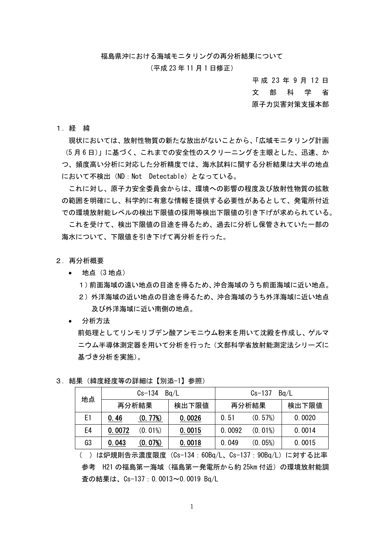福島県沖における海域モニタリングの再分析結果について

#### (平成 23 年 11 月 1 日修正)

平 成 23 年 9 月 12 日 文 部 科 学 省 原子力災害対策支援本部

1.経 緯

現状においては、放射性物質の新たな放出がないことから、「広域モニタリング計画 (5 月 6 日)」に基づく、これまでの安全性のスクリーニングを主眼とした、迅速、か つ、頻度高い分析に対応した分析精度では、海水試料に関する分析結果は大半の地点 において不検出(ND:Not Detectable)となっている。

これに対し、原子力安全委員会からは、環境への影響の程度及び放射性物質の拡散 の範囲を明確にし、科学的に有意な情報を提供する必要性があるとして、発電所付近 での環境放射能レベルの検出下限値の採用等検出下限値の引き下げが求められている。

これを受けて、検出下限値の目途を得るため、過去に分析し保管されていた一部の 海水について、下限値を引き下げて再分析を行った。

- 2.再分析概要
	- 地点(3 地点)
		- 1)前面海域の遠い地点の目途を得るため、沖合海域のうち前面海域に近い地点。
		- 2)外洋海域の近い地点の目途を得るため、沖合海域のうち外洋海域に近い地点 及び外洋海域に近い南側の地点。
	- 分析方法

前処理としてリンモリブデン酸アンモニウム粉末を用いて沈殿を作成し、ゲルマ ニウム半導体測定器を用いて分析を行った(文部科学省放射能測定法シリーズに 基づき分析を実施)。

| 地点 | $Cs-134$<br>Ba/L |            | Ba/L<br>$Cs - 137$ |        |            |        |
|----|------------------|------------|--------------------|--------|------------|--------|
|    | 再分析結果            |            | 検出下限値              | 再分析結果  |            | 検出下限値  |
| E1 | 0.46             | (0.77%)    | 0.0026             | 0.51   | (0.57%)    | 0.0020 |
| E4 | 0.0072           | $(0.01\%)$ | 0.0015             | 0.0092 | $(0.01\%)$ | 0.0014 |
| G3 | 0.043            | (0.07%)    | 0.0018             | 0.049  | (0.05%)    | 0.0015 |

3.結果(緯度経度等の詳細は【別添-1】参照)

<sup>( )</sup>は炉規則告示濃度限度(Cs-134:60Bq/L、Cs-137:90Bq/L)に対する比率 参考 H21 の福島第一海域(福島第一発電所から約 25km 付近)の環境放射能調 査の結果は、Cs-137:0.0013~0.0019 Bq/L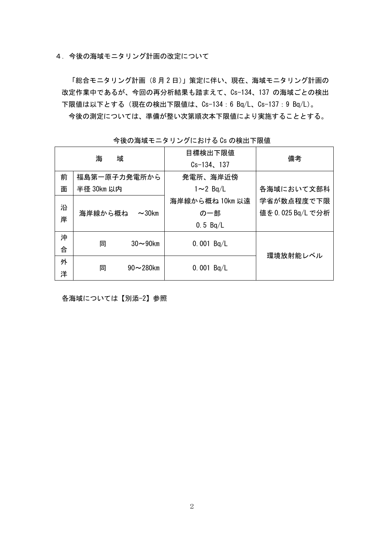4.今後の海域モニタリング計画の改定について

「総合モニタリング計画(8 月 2 日)」策定に伴い、現在、海域モニタリング計画の 改定作業中であるが、今回の再分析結果も踏まえて、Cs-134、137 の海域ごとの検出 下限値は以下とする(現在の検出下限値は、Cs-134:6 Bq/L、Cs-137:9 Bq/L)。 今後の測定については、準備が整い次第順次本下限値により実施することとする。

| <b>ヲ  &amp; Vノ/毋 +¾ L 一 ノ ノ ノ ノ l こ 4コ l / る _ い &gt; V &gt; V// :火 山   ^ l :K i i L</b> |              |                |                  |                  |  |  |
|------------------------------------------------------------------------------------------|--------------|----------------|------------------|------------------|--|--|
|                                                                                          | 海            | 域              | 目標検出下限値          | 備考               |  |  |
|                                                                                          |              |                | $Cs - 134$ , 137 |                  |  |  |
| 前                                                                                        | 福島第一原子力発電所から |                | 発電所、海岸近傍         |                  |  |  |
| 面                                                                                        | 半径 30km 以内   |                | $1 \sim 2$ Bg/L  | 各海域において文部科       |  |  |
|                                                                                          |              |                | 海岸線から概ね 10km 以遠  | 学省が数点程度で下限       |  |  |
| 沿<br>岸                                                                                   | 海岸線から概ね      | $\sim$ 30 $km$ | の一部              | 値を0.025 Bq/L で分析 |  |  |
|                                                                                          |              |                | 0.5 $Bq/L$       |                  |  |  |
| 沖                                                                                        | 同            | $30\sim90$ km  | 0.001 $Bq/L$     |                  |  |  |
| 合                                                                                        |              |                |                  | 環境放射能レベル         |  |  |
| 外                                                                                        |              | $90 - 280$ km  |                  |                  |  |  |
| 洋                                                                                        | 同            |                | 0.001 $Bq/L$     |                  |  |  |

今後の海域モニタリングにおける Cs の検出下限値

各海域については【別添-2】参照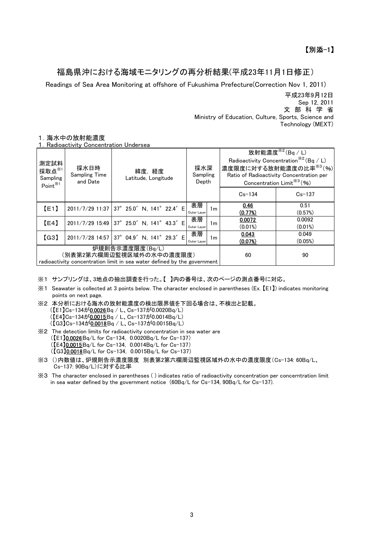## 福島県沖における海域モニタリングの再分析結果(平成23年11月1日修正)

Readings of Sea Area Monitoring at offshore of Fukushima Prefecture(Correction Nov 1, 2011)

 Ministry of Education, Culture, Sports, Science and Technology (MEXT) 平成23年9月12日 文 部 科 学 省 Sep 12, 2011

#### 1.海水中の放射能濃度

1.Radioactivity Concentration Undersea

| 測定試料<br>採取点 $x_{1}$<br>Sampling<br>Point <sup>%1</sup>                                                                  | 採水日時<br><b>Sampling Time</b><br>and Date  | 緯度,経度<br>Latitude, Longitude              | 採水深<br>Sampling<br>Depth |            | 放射能濃度 $*^{2}$ (Bq / L)<br>Radioactivity Concentration <sup><math>\frac{3}{2}</math></sup> (Bq / L)<br>濃度限度に対する放射能濃度の比率※3(%)<br>Ratio of Radioactivity Concentration per<br>Concentration Limit <sup>363</sup> (%) |
|-------------------------------------------------------------------------------------------------------------------------|-------------------------------------------|-------------------------------------------|--------------------------|------------|-------------------------------------------------------------------------------------------------------------------------------------------------------------------------------------------------------------------|
|                                                                                                                         |                                           |                                           |                          | $Cs - 134$ | $Cs - 137$                                                                                                                                                                                                        |
| [E1]                                                                                                                    |                                           | 2011/7/29 11:37 37° 25.0' N, 141° 22.4' E | 表層<br>1m                 | 0.46       | 0.51                                                                                                                                                                                                              |
|                                                                                                                         |                                           |                                           | Outer Layer              | (0.77%)    | (0.57%)                                                                                                                                                                                                           |
| [E4]                                                                                                                    |                                           | 2011/7/29 15:49 37° 25.0' N, 141° 43.3' E | 表層<br>1 <sub>m</sub>     | 0.0072     | 0.0092                                                                                                                                                                                                            |
|                                                                                                                         |                                           |                                           | Outer Layer              | $(0.01\%)$ | $(0.01\%)$                                                                                                                                                                                                        |
| (G3)                                                                                                                    | 2011/7/28 14:57 37° 04.9' N, 141° 29.3' E |                                           | 表層                       | 0.043      | 0.049                                                                                                                                                                                                             |
|                                                                                                                         |                                           |                                           | 1m<br>Outer Layer        | (0.07%)    | (0.05%)                                                                                                                                                                                                           |
| 炉規則告示濃度限度(Bq/L)<br>(別表第2第六欄周辺監視区域外の水中の濃度限度)<br>radioactivity concentration limit in sea water defined by the government |                                           |                                           | 60                       | 90         |                                                                                                                                                                                                                   |

<sup>※1</sup> サンプリングは、3地点の抽出調査を行った。【 】内の番号は、次のページの測点番号に対応。

- ※1 Seawater is collected at 3 points below. The character enclosed in parentheses (Ex. 【E1】) indicates monitoring points on next page.
- ※2 本分析における海水の放射能濃度の検出限界値を下回る場合は、不検出と記載。 (【E1】Cs-134が0.0026Bq / L、Cs-137が0.0020Bq/L) (【E4】Cs-134が0.0015Bq / L、Cs-137が0.0014Bq/L) (【G3】Cs-134が0.0018Bq / L、Cs-137が0.0015Bq/L) ※2 The detection limits for radioactivity concentration in sea water are
- (【E1】0.0026Bq/L for Cs-134, 0.0020Bq/L for Cs-137) (【E4】0.0015Bq/L for Cs-134, 0.0014Bq/L for Cs-137) (【G3】0.0018Bq/L for Cs-134, 0.0015Bq/L for Cs-137)
- ※3 ()内数値は、炉規則告示濃度限度 別表第2第六欄周辺監視区域外の水中の濃度限度(Cs-134: 60Bq/L、 Cs-137: 90Bq/L)に対する比率
- ※3 The character enclosed in parentheses ( ) indicates ratio of radioactivity concentration per concerntration limit in sea water defined by the government notice (60Bq/L for Cs-134, 90Bq/L for Cs-137).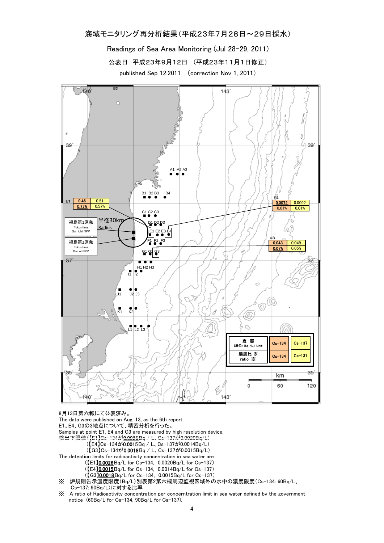### 海域モニタリング再分析結果(平成23年7月28日~29日採水)

Readings of Sea Area Monitoring (Jul 28-29, 2011)

公表日 平成23年9月12日 (平成23年11月1日修正)

published Sep 12,2011 (correction Nov 1, 2011)



8月13日第六報にて公表済み。

The data were published on Aug. 13, as the 6th report.

E1、E4、G3の3地点について、精密分析を行った。

Samples at point E1, E4 and G3 are measured by high resolution device.

- 検出下限値(【E1】Cs-134が0.0026Bq / L、Cs-137が0.0020Bq/L)
	- (【E4】Cs-134が0.0015Bq / L、Cs-137が0.0014Bq/L)
	- (【G3】Cs-134が0.0018Bq / L、Cs-137が0.0015Bq/L)

The detection limits for radioactivity concentration in sea water are

- (【E1】0.0026Bq/L for Cs-134, 0.0020Bq/L for Cs-137)
- (【E4】0.0015Bq/L for Cs-134, 0.0014Bq/L for Cs-137)
- (【G3】0.0018Bq/L for Cs-134, 0.0015Bq/L for Cs-137)
- ※ 炉規則告示濃度限度(Bq/L)別表第2第六欄周辺監視区域外の水中の濃度限度(Cs-134: 60Bq/L、
- Cs-137: 90Bq/L)に対する比率
- ※ A ratio of Radioactivity concentration per concerntration limit in sea water defined by the government notice (60Bq/L for Cs-134, 90Bq/L for Cs-137).